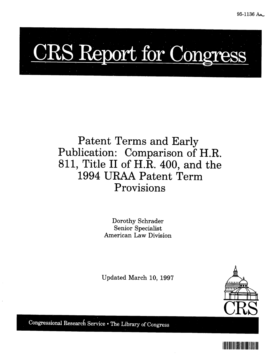# CRS Report for Congre

# Patent Terms and Early Publication: Comparison of H.R. **811,** Title II of H.R. 400, and the 1994 **URAA** Patent Term Provisions

Dorothy Schrader Senior Specialist American Law Division

Updated March 10, **1997**



Congressional Research Service . The Library of Congress

I IIII<mark>I</mark>III IIII IIIIIIIII IIIIIII IIIIII IIIII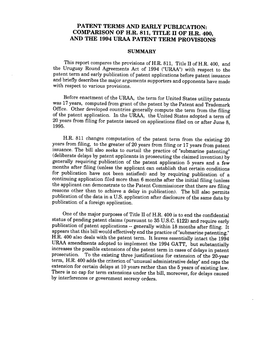#### **PATENT TERMS AND EARLY PUBLICATION: COMPARISON OF H.R. 811, TITLE II OF H.R. 400, AND THE 1994 URAA PATENT TERM PROVISIONS**

#### **SUMMARY**

This report compares the provisions of H.R. 811, Title II of H.R. 400, and the Uruguay Round Agreements Act of 1994 ("URAA") with respect to the patent term and early publication of patent applications before patent issuance and briefly describes the major arguments supporters and opponents have made with respect to various provisions.

Before enactment of the URAA, the term for United States utility patents was 17 years, computed from grant of the patent by the Patent and Trademark<br>Office. Other developed countries generally compute the term from the filing of the patent application. In the URAA, the United States adopted a term of 20 years from filing for patents issued on applications filed on or after June 8, 1995.

H.R. 811 changes computation of the patent term from the existing 20 years from filing, to the greater of 20 years from filing or 17 years from patent issuance. The bill also seeks to curtail the practice of "submarine patenting" (deliberate delays by patent applicants in prosecuting the claimed invention) by generally requiring publication of the patent application 5 ye months after filing (unless the applicant can establish that certain conditions for publication have not been satisfied) and by requiring publication of a the applicant can demonstrate to the Patent Commissioner that there are filing reasons other than to achieve a delay in publication). The bill also permits publication of the data in a U.S. application after disclosure of the same data by publication of a foreign application.

One of the major purposes of Title II of H.R. 400 is to end the confidential status of pending patent claims (pursuant to 35 U.S.C. §122) and require early publication of patent applications -- generally within 18 months after filing. It appears that this bill would effectively end the practice of "submarine patenting." H.R. 400 also deals with the patent term. It leaves essentially intact the 1994 increases the possible extensions of the patent term in cases of delays in patent prosecution. To the existing three justifications for extension of the 20-year term, H.R. 400 adds the criterion of"unusual administrative delay" and caps the extension for certain delays at 10 years rather than the 5 years of existing law. There is no cap for term extensions under the bill, moreover, for delays caused by interferences or government secrecy orders.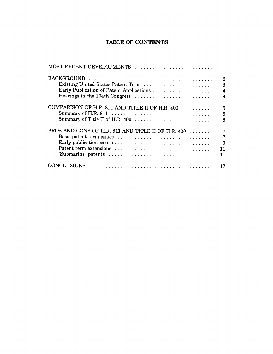#### **TABLE OF CONTENTS**

 $\mathcal{L}^{\text{max}}_{\text{max}}$ 

 $\sim$   $\sim$ 

| COMPARISON OF H.R. 811 AND TITLE II OF H.R. 400  5 |
|----------------------------------------------------|
|                                                    |
|                                                    |
|                                                    |
|                                                    |
|                                                    |
|                                                    |
|                                                    |
|                                                    |

 $\mathcal{L}(\mathcal{A})$  and  $\mathcal{L}(\mathcal{A})$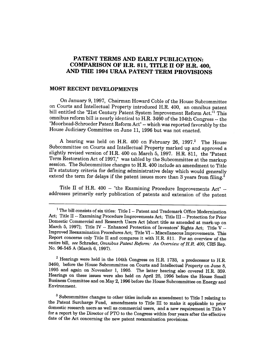#### **PATENT TERMS AND EARLY PUBLICATION: COMPARISON OF H.R. 811, TITLE II OF H.R. 400, AND THE 1994 URAA PATENT TERM PROVISIONS**

#### **MOST RECENT DEVELOPMENTS**

On January 9, 1997, Chairman Howard Coble of the House Subcommittee on Courts and Intellectual Property introduced H.R. 400, an omnibus patent bill entitled the "21st Century Patent System Improvement Reform Act."' This omnibus reform bill is nearly identical to H.R. 3460 of the 104th Congress -- the "Moorhead-Schroeder Patent Reform Act" -- which was reported favorably by the House Judiciary Committee on June 11, 1996 but was not enacted.

A hearing was held on H.R. 400 on February 26, 1997.<sup>2</sup> The House Subcommittee on Courts and Intellectual Property marked up and approved a slightly revised version of H.R. 400 on March 5, 1997. H.R. 811, the "Patent Term Restoration Act of 1997," was tabled by the Subcommittee at the markup session. The Subcommittee changes to H.R. 400 include an amendment to Title II's statutory criteria for defining administrative delay which would generally extend the term for delays if the patent issues more than 3 years from filing.<sup>3</sup>

Title II of H.R. 400 -- "the Examining Procedure Improvements Act" -- addresses primarily early publication of patents and extension of the patent

<sup>2</sup> Hearings were held in the 104th Congress on H.R. 1733, a predecessor to H.R. 3460, before the House Subcommittee on Courts and Intellectual Property on June 8, 1995 and again on November 1, 1995. The latter hearing also covered H.R. 359. Hearings on these issues were also held on April 25, 1996 before the House Small Business Committee and on May 2, 1996 before the House Subcommittee on Energy and Environment.

<sup>3</sup> Subcommittee changes to other titles include an amendment to Title I relating to the Patent Surcharge Fund, amendments to Title III to make it applicable to prior domestic research users as well as commercial users, and a new requirement in Title V for a report by the Director of PTO to the Congress within four years after the effective date of the Act concerning the new patent reexamination provisions.

<sup>&#</sup>x27; The bill consists of six titles: Title I -- Patent and Trademark Office Modernization Act; Title II -- Examining Procedure Improvements Act; Title III -- Protection for Prior Domestic Commercial and Research Users Act [short title as amended at mark-up on March 5, 1997]; Title IV -- Enhanced Protection of Inventors' Rights Act; Title V --Improved Reexamination Procedures Act; Title VI -- Miscellaneous Improvements. This Report concerns only Title II and compares it with H.R. 811. For an overview of the entire bill, *see* Schrader, *Omnibus Patent Reform: An Overview of H.R. 400,* CRS Rep. No. 96-545 A (March 6, 1997).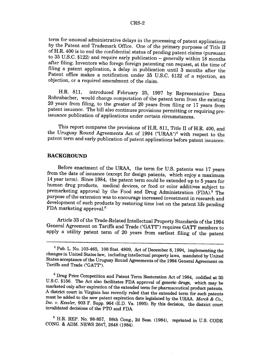term for unusual administrative delays in the processing of patent applications by the Patent and Trademark Office. One of the primary purposes of Title II of H.R. 400 is to end the confidential status of pending patent claims (pursuant to 35 U.S.C. §122) and require early publication -- generally within  $18$  months after filing. Inventors who forego foreign patenting can request, at the time of filing a patent application, a delay in publication until 3 months after the Patent office makes a notification under 35 U.S.C. §132 of a rejection, an objection, or a required amendment of the claim.

H.R. 811, introduced February 25, 1997 by Representative Dana<br>Rohrabacher, would change computation of the patent term from the existing 20 years from filing, to the greater of 20 years from filing or 17 years from patent issuance. The bill also continues provisions permitting or requiring pre- issuance publication of applications under certain circumstances.

This report compares the provisions of H.R. 811, Title II of H.R. 400, and the Uruguay Round Agreements Act of 1994 ("URAA")4 with respect to the patent term and early publication of patent applications before patent issuance.

#### **BACKGROUND**

Before enactment of the **URAA,** the term for U.S. patents was 17 years from the date of issuance (except for design patents, which enjoy a maximum 14 year term). Since 1984, the patent term could be extended up to 5 years for human drug products, medical devices, or food or color additives subject to premarketing approval by the Food and Drug Administration (FDA).<sup>5</sup> The purpose of the extension was to encourage increased investment in research and development of such products by restoring time lost on the patent life pending FDA marketing approval.<sup>6</sup>

Article 33 of the Trade-Related Intellectual Property Standards of the 1994 General Agreement on Tariffs and Trade ("GATT") requires GATT members to apply a utility patent term of 20 years from earliest filing of the patent

<sup>&</sup>lt;sup>4</sup> Pub. L. No. 103-465, 108 Stat. 4809, Act of December 8, 1994, implementing the changes in United States law, including intellectual property laws, mandated by United States acceptance of the Uruguay Round Agreements o

<sup>&</sup>lt;sup>6</sup> Drug Price Competition and Patent Term Restoration Act of 1984, codified at 35 U.S.C. §156. The Act also facilitates FDA approval of generic drugs, which may be marketed only after expiration of the extended term for p A district court in Virginia has recently ruled that the extended term for such patents must be added to the new patent expiration date legislated by the URAA. Merck & Co., Inc. v. Kessler, 903 F. Supp. 964 (E.D. Va. 1995

**<sup>6</sup>**H.R. REP. No. 98-857, 98th Cong., 2d Sess. (1984), reprinted in U.S. CODE CONG. & ADM. NEWS 2647, 2648 (1984).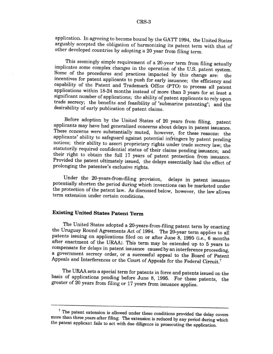application. In agreeing to become bound by the GATT 1994, the United States arguably accepted the obligation of harmonizing its patent term with that of other developed countries by adopting a 20 year from filing term.

This seemingly simple requirement of a 20-year term from filing actually<br>implicates some complex changes in the operation of the U.S. patent system.<br>Some of the procedures and practices impacted by this change are: the<br>inc

Before adoption by the United States of 20 years from filing, patent applicants may have had generalized concerns about delays in patent issuance. These concerns were substantially muted, however, for these reasons: the ap

Under the 20-years-from-filing provision, delays in patent issuance potentially shorten the period during which inventions can be marketed under the protection of the patent law. As discussed below, however, the law allows term extension under certain conditions.

#### **Existing United States Patent Term**

The United States adopted a 20-years-from-filing patent term by enacting the Uruguay Round Agreements Act of 1994. The 20-year term applies to all patents issuing on applications filed on or after June 8, 1995 (i.e., 6 mon after enactment of the URAA). This term may be extended up to 5 years to compensate for delays in patent issuance caused by an interference proceeding, a government secrecy order, or a successful appeal to the Board of Patent<br>Appeals and Interferences or the Court of Appeals for the Federal Circuit.<sup>7</sup>

The URAA sets a special term for patents in force and patents issued on the basis of applications pending before June 8, 1995. For these patents, the greater of 20 years from filing or 17 years from issuance applies.

 $7$  The patent extension is allowed under these conditions provided the delay covers more than three years after filing. The extension is reduced by any period during which the patent applicant fails to act with due diligence in prosecuting the application.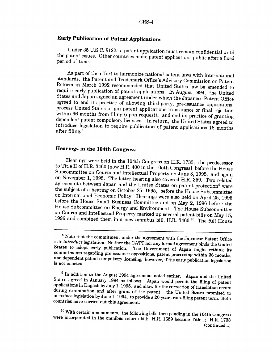#### **Early Publication of Patent Applications**

Under 35 U.S.C. §122, a patent application must remain confidential until the patent issues. Other countries make patent applications public after a fixed period of time.

As part of the effort to harmonize national patent laws with international standards, the Patent and Trademark Office's Advisory Commission on Patent Reform in March 1992 recommended that United States law be amended to<br>require early publication of patent applications. In August 1994, the United<br>States and Japan signed an agreement under which the Japanese Patent Office within 36 months from filing (upon request); and end its practice of granting dependent patent compulsory licenses. In return, the United States agreed to introduce legislation to require publication of patent application

#### **Hearings in the 104th Congress**

Hearings were held in the 104th Congress on H.R. 1733, the predecessor<br>to Title II of H.R. 3460 [now H.R. 400 in the 105th Congress] before the House<br>Subcommittee on Courts and Intellectual Property on June 8, 1995, and ag on November 1, 1995. The latter hearing also covered H.R. 359. Two related agreements between Japan and the United States on patent protection<sup>9</sup> were the subject of a hearing on October 25, 1995, before the House Subcommittee<br>on International Economic Policy. Hearings were also held on April 25, 1996 before the House Small Business Committee and on May 2, 1996 before the House Subcommittee on Energy and Environment. The House Subcommittee on Courts and Intellectual Property marked up several patent bills on May 15, 1996 and combined them in a new omnibus bill, H.R. 3460.<sup>10</sup> The full House

 $8$  Note that the commitment under the agreement with the Japanese Patent Office<br>is to *introduce* legislation. Neither the GATT nor any formal agreement binds the United<br>States to adopt early publication. The Government

<sup>&</sup>lt;sup>9</sup> In addition to the August 1994 agreement noted earlier, Japan and the United States agreed in January 1994 as follows: Japan would permit the filing of patent applications in English by July 1, 1995, and allow for the

<sup>&</sup>lt;sup>10</sup> With certain amendments, the following bills then pending in the 104th Congress were incorporated in the omnibus reform bill: H.R. 1659 became Title I; H.R. 1733 (continued...)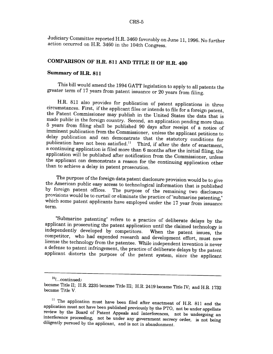Judiciary Committee reported H.R. 3460 favorably on June 11, 1996. No further action occurred on H.R. 3460 in the 104th Congress.

## **COMPARISON OF H.R. 811 AND TITLE II OF H.R. 400**

#### **Summary of H.R. 811**

This bill would amend the 1994 GATT legislation to apply to all patents the greater term of 17 years from patent issuance or 20 years from filing.

H.R. 811 also provides for publication of patent applications in three circumstances. First, if the applicant files or intends to file for a foreign patent, the Patent Commissioner may publish in the United States the dat application will be published after notification from the Commissioner, unless the applicant can demonstrate a reason for the continuing application other than to achieve a delay in patent prosecution.

The purpose of the foreign data patent disclosure provision would be to give<br>the American public easy access to technological information that is published<br>by foreign patent offices. The purpose of the remaining two disclo term.

"Submarine patenting" refers to a practice of deliberate delays by the applicant in prosecuting the patent application until the claimed technology is independently developed by competitors. When the patent issues, the com applicant distorts the purpose of the patent system, since the applicant

IO(...continued)

became Title II; H.R. 2235 became Title III; H.R. 2419 became Title IV; and H.R. 1732 became Title V.

<sup>&</sup>lt;sup>11</sup> The application must have been filed after enactment of H.R. 811 and the application must not have been published previously by the PTO, not be under appellate review by the Board of Patent Appeals and Interferences,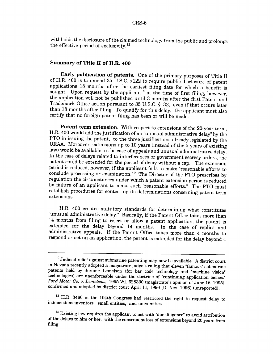withholds the disclosure of the claimed technology from the public and prolongs the effective period of exclusivity.<sup>12</sup>

#### **Summary of Title II of H.R. 400**

**Early publication of patents.** One of the primary purposes of Title II of H.R. 400 is to amend 35 U.S.C. §122 to require public disclosure of patent applications 18 months after the earliest filing date for which a benefit is sought. Upon request by the applicant<sup>13</sup> at the time of first filing, however, the application will not be published until 3 months after the first Patent and Trademark Office action pursuant to 35 U.S.C. §132, even if that occurs later than 18 months after filing. To qualify for this delay, the applicant must also certify that no foreign patent filing has been or will be made.

**Patent term extension.** With respect to extensions of the 20-year term, H.R. 400 would add the justification of an "unusual administrative delay" by the PTO in issuing the patent, to the three justifications already legislated by the URAA. Moreover, extensions up to 10 years (instead of the 5 years of existing law) would be available in the case of appeals and unusual administrative delay.<br>In the case of delays related to interferences or government secrecy orders, the patent could be extended for the period of delay without a cap. The extension period is reduced, however, if the applicant fails to make "reasonable efforts to conclude processing or examination."<sup>14</sup> The Director of the PTO prescribes by regulation the circumstances under which a patent extension period is reduced by failure of an applicant to make such "reasonable efforts." The PTO must establish procedures for contesting its determinations concerning patent term extensions.

H.R. 400 creates statutory standards for determining what constitutes "unusual administrative delay." Basically, if the Patent Office takes more than 14 months from filing to reject or allow a patent application, the patent is extended for the delay beyond 14 months. In the case of replies and administrative appeals, if the Patent Office takes more than 4 months to respond or act on an application, the patent is extended for the delay beyond 4

 $12$  Judicial relief against submarine patenting may now be available. A district court in Nevada recently adopted a magistrate judge's ruling that eleven "famous" submarine patents held by Jerome Lemelson (for bar code technology and "machine vision" technologies) are unenforceable under the doctrine of "continuing application laches."<br>Ford Motor Co. v. Lemelson, 1995 WL 628330 (magistrate's opinion of June 16, 1995), confirmed and adopted by district court April 11, 1996 (D. Nev. 1996) (unreported).

<sup>&</sup>lt;sup>13</sup> H.R. 3460 in the 104th Congress had restricted the right to request delay to independent inventors, small entities, and universities.

 $14$  Existing law requires the applicant to act with "due diligence" to avoid attribution of the delays to him or her, with the consequent loss of extensions beyond 20 years from filing.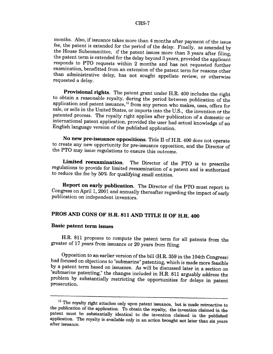months. Also, if issuance takes more than 4 months after payment of the issue<br>fee, the patent is extended for the period of the delay. Finally, as amended by<br>the House Subcommittee, if the patent issues more than 3 years a than administrative delay, has not sought appellate review, or otherwise requested a delay.

**Provisional rights**. The patent grant under H.R. 400 includes the right to obtain a reasonable royalty, during the period between publication of the application and patent issuance,  $^{16}$  from any person who makes, uses

No new pre-issuance oppositions. Title II of H.R. 400 does not operate to create any new opportunity for pre-issuance opposition, and the Director of the PTO may issue regulations to ensure this outcome.

**Limited reexamination.** The Director of the PTO is to prescribe regulations to provide for limited reexamination of a patent and is authorized to reduce the fee by 50% for qualifying small entities.

**Report on early publication.** The Director of the PTO must report to Congress on April 1, 2001 and annually thereafter regarding the impact of early publication on independent inventors.

## **PROS AND CONS OF H.R. 811 AND TITLE II OF H.R. 400**

#### **Basic patent term issues**

H.R. 811 proposes to compute the patent term for all patents from the greater of 17 years from issuance or 20 years from filing.

Opposition to an earlier version of the bill (H.R. 359 in the 104th Congress) had focused on objections to "submarine" patenting, which is made more feasible "submarine patenting," the changes included in H.R. 811 arguably address the problem by substantially restricting the opportunities for delays in patent prosecution.

<sup>&</sup>lt;sup>15</sup> The royalty right attaches only upon patent issuance, but is made retroactive to the publication of the application. To obtain the royalty, the invention claimed in the patent must be substantially identical to the i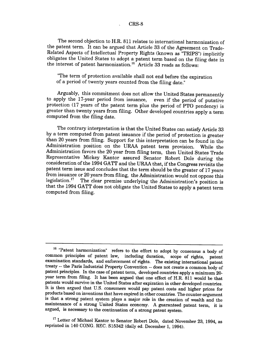The second objection to H.R. 811 relates to international harmonization of the patent term. It can be argued that Article 33 of the Agreement on Trade-Related Aspects of Intellectual Property Rights (known as "TRIPS") implicitly obligates the United States to adopt a patent term based on the filing date in the interest of patent harmonization.<sup>16</sup> Article 33 reads as follows:

"The term of protection available shall not end before the expiration of a period of twenty years counted from the filing date."

Arguably, this commitment does not allow the United States permanently<br>to apply the 17-year period from issuance, even if the period of putative protection (17 years of the patent term plus the period of PTO pendency) is greater than twenty years from filing. Other developed countries apply a term computed from the filing date.

The contrary interpretation is that the United States can satisfy Article 33 by a term computed from patent issuance if the period of protection is greater than 20 years from filing. Support for this interpretation can be found in the Administration position on the URAA patent term provision. While the Administration favors the 20 year from filing term, then United States Trade Representative Mickey Kantor assured Senator Robert Dole during the consideration of the 1994 GATT and the URAA that, if the Congress revisits the patent term issue and concludes that the term should be the greater of 17 years from issuance or 20 years from filing, the Administration would not oppose this legislation.<sup>17</sup> The clear premise underlying the Administration's position is that the 1994 GATT does not obligate the United States to apply a patent term computed from filing.

 $17$  Letter of Michael Kantor to Senator Robert Dole, dated November 23, 1994, as reprinted in 140 CONG. REC. S15342 (daily ed. December 1, 1994).

<sup>&</sup>lt;sup>16</sup> "Patent harmonization" refers to the effort to adopt by consensus a body of common principles of patent law, including duration, scope of rights, patent common principles of patent law, including duration, scope of rights, patent examination standards, and enforcement of rights. The existing international patent treaty -- the Paris Industrial Property Convention -- does not create a common body of patent principles. In the case of patent term, developed countries apply a minimum 20 year term from filing. It has been argued that one effect of H.R. 811 would be that patents would survive in the United States after expiration in other developed countries. It is then argued that U.S. consumers would pay patent costs and higher prices for products based on inventions that have expired in other countries. The counter-argument is that a strong patent system plays a major role in the creation of wealth and the maintenance of a strong United States economy. A guaranteed patent term, it is argued, is necessary to the continuation of a strong patent system.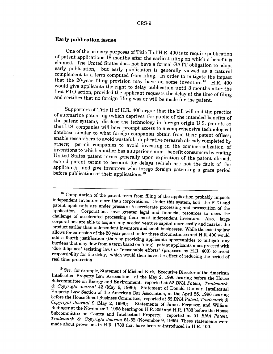#### **Early publication issues**

One of the primary purposes of Title II of H.R. 400 is to require publication<br>of patent applications 18 months after the earliest filing on which a benefit is<br>claimed. The United States does not have a formal GATT obligat first PTO action, provided the applicant requests the delay at the time of filing<br>and certifies that no foreign filing was or will be made for the patent.

Supporters of Title II of H.R. 400 argue that the bill will end the practice<br>of submarine patenting (which deprives the public of the intended benefits of<br>the patent system); disclose the technology in foreign origin U.S. applicant); and give inventors who forego foreign patenting a grace period before publication of their applications.<sup>19</sup>

<sup>&</sup>lt;sup>18</sup> Computation of the patent term from filing of the application probably impacts<br>independent inventors more than corporations. Under this system, both the PTO and<br>patent applicants are under pressure to accelerate proc

<sup>&</sup>lt;sup>19</sup> See, for example, Statement of Michael Kirk, Executive Director of the American<br>Intellectual Property Law Association, at the May 2, 1996 hearing before the House<br>Subcommittee on Energy and Environment, reported at 5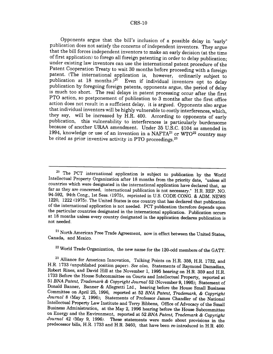#### CRS-10

Opponents argue that the bill's inclusion of a possible delay in "early" publication does not satisfy the concerns of independent inventors. They argue that the bill forces independent inventors to make an early decision (at the time of first application) to forego all foreign patenting in order to delay publication; under existing law inventors can use the international patent procedure of the Patent Cooperation Treaty to wait 30 months before proceeding with a foreign patent. (The international application is, however, ordinarily subject to publication at 18 months.)<sup>20</sup> Even if individual inventors opt to delay publication by foregoing foreign patents, opponents argue, the period of delay is much too short. The real delays in patent processing occur after the first PTO action, so postponement of publication to 3 months after the first office action does not result in a sufficient delay, it is argued. Opponents also argue that individual inventors will be highly vulnerable to costly interferences, which, they say, will be increased by H.R. 400. According to opponents of early publication, this vulnerability to interferences is particularly burdensome because of another URAA amendment. Under 35 U.S.C. §104 as amended in 1994, knowledge or use of an invention in a NAFTA<sup>21</sup> or  $WTO^{22}$  country may be cited as prior inventive activity in PTO proceedings.<sup>23</sup>

 $^{21}$  North American Free Trade Agreement, now in effect between the United States, Canada, and Mexico.

 $22$  World Trade Organization, the new name for the 120-odd members of the GATT.

 $20$  The PCT international application is subject to publication by the World Intellectual Property Organization after 18 months from the priority date, "unless all countries which were designated in the international application have declared that, as far as they are concerned, international publication is not necessary." H.R. REP. NO. 94-592, 94th Cong., 1st Sess. (1975), reprinted in U.S. CODE CONG. & ADM. NEWS 1220, 1222 (1975). The United States is one country that has declared that publication of the international application is not needed. PCT publication therefore depends upon<br>the particular countries designated in the international application. Publication occurs at 18 months unless every country designated in the application declares publication is not needed.

<sup>&</sup>lt;sup>23</sup> Alliance for American Innovation, Talking Points on H.R. 359, H.R. 1732, and H.R. 1733 (unpublished position paper). See also, Statements of Raymond Damadian, Robert Rines, and David Hill at the November 1, 1995 hearing on H.R. 359 and H.R. 1733 Before the House Subcommittee on Courts and Intellectual Property, reported at <sup>51</sup>*BNA Patent, Trademark & Copyright Journal* 52 (November 9, 1995); Statement of Donald Banner, Banner & Allegretti Ltd., hearing before the House Small Business Committee on April 25, 1996, reported at 52 *BNA Patent, Trademark, & Copyright Journal* 8 (May 2, 1996); Statements of Professor James Chandler of the National Intellectual Property Law Institute and Terry Bibbens, Office of Advocacy of the Small Business Administration, at the May 2, 1996 hearing before the House Subcommittee on Energy and the Environment, reported at 52 BNA Patent, Trademark & Copyright Journal 42 (May 9, 1996). These statements were made about provisions in the predecessor bills, H.R. 1733 and H.R. 3460, that have been re-introduced in H.R. 400.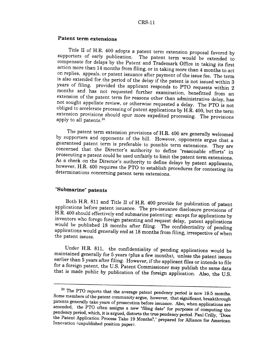#### **Patent term extensions**

Title II of H.R. 400 adopts a patent term extension proposal favored by<br>supporters of early publication. The patent term would be extended to<br>compensate for delays by the Patent and Trademark Office in taking its first<br>act is also extended for the period of the delay if the patent is not issued within 3 years of filing. provided the applicant responds to PTO requests within 2 months and has not requested further examination, benefitted from an extension of the patent term for reasons other than administrative delay, has not sought appellate review, or otherwise requested a delay. The PTO is no

The patent term extension provisions of H.R. 400 are generally welcomed<br>by supporters and opponents of the bill. However, opponents argue that a<br>guaranteed patent term is preferable to possible term extensions. They are<br>co

#### **"Submarine" patents**

Both H.R. 811 and Title II of H.R. 400 provide for publication of patent applications before patent issuance. The pre-issuance disclosure provisions of H.R. 400 should effectively end submarine patenting: except for applic

Under H.R. 811, the confidentiality of pending applications would be maintained generally for 5 years (plus a few months), unless the patent issues earlier than 5 years after filing. However, if the applicant files or inte

<sup>&</sup>lt;sup>24</sup> The PTO reports that the average patent pendency period is now 19.5 months.<br>Some members of the patent community argue, however, that significant, breakthrough<br>patents generally take years of prosecution before issua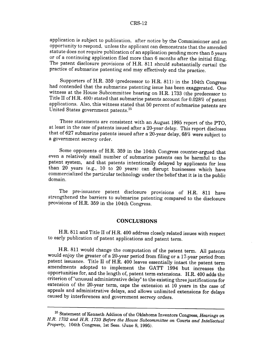#### CRS-12

application is subject to publication, after notice by the Commissioner and an opportunity to respond, unless the applicant can demonstrate that the amended statute does not require publication of an application pending more than **5** years or of a continuing application filed more than 6 months after the initial filing. The patent disclosure provisions of H.R. 811 should substantially curtail the practice of submarine patenting and may effectively end the practice.

Supporters of H.R. 359 (predecessor to H.R. 811) in the 104th Congress had contended that the submarine patenting issue has been exaggerated. One witness at the House Subcommittee hearing on H.R. 1733 (the predecessor to Title II of H.R. 400) stated that submarine patents account for  $0.028\%$  of patent applications. Also, this witness stated that 50 percent of submarine patents are United States government patents. $^{2}$ 

These statements are consistent with an August 1995 report of the **PTO,** at least in the case of patents issued after a 20-year delay. This report discloses that of 627 submarine patents issued after a 20-year delay, 68% were subject to a government secrecy order.

Some opponents of H.R. 359 in the 104th Congress counter-argued that even a relatively small number of submarine patents can be harmful to the patent system, and that patents intentionally delayed by applicants for less than 20 years (e.g., 10 to 20 years) can disrupt businesses which have commercialized the particular technology under the belief that it is in the public domain.

The pre-issuance patent disclosure provisions of H.R. 811 have strengthened the barriers to submarine patenting compared to the disclosure provisions of H.R. 359 in the 104th Congress.

#### **CONCLUSIONS**

H.R. 811 and Title II of H.R. 400 address closely related issues with respect to early publication of patent applications and patent term.

H.R. 811 would change the computation of the patent term. All patents would enjoy the greater of a 20-year period from filing or a 17-year period from patent issuance. Title II of H.R. 400 leaves essentially intact the patent term amendments adopted to implement the GATT 1994 but increases the opportunities for, and the length of, patent term extensions. H.R. 400 adds the criterion of "unusual administrative delay" to the existing three justifications for extension of the 20-year term, caps the extension at 10 years in the case of appeals and administrative delays, and allows unlimited extensions for delays caused by interferences and government secrecy orders.

<sup>25</sup> Statement of Kenneth Addison of the Oklahoma Inventors Congress, *Hearings on H.R. 1732 and H.R. 1733 Before the House Subcommittee on* Courts *and Intellectual Property,* 104th Congress, 1st Sess. (June 8, 1995).